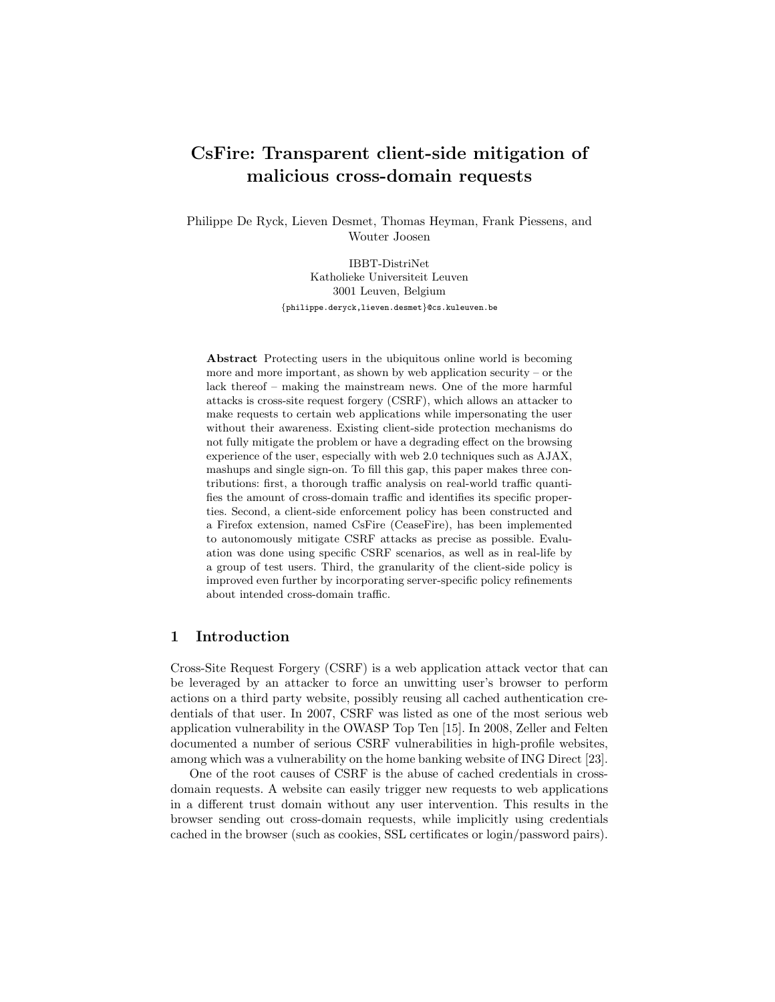# CsFire: Transparent client-side mitigation of malicious cross-domain requests

Philippe De Ryck, Lieven Desmet, Thomas Heyman, Frank Piessens, and Wouter Joosen

> IBBT-DistriNet Katholieke Universiteit Leuven 3001 Leuven, Belgium {philippe.deryck,lieven.desmet}@cs.kuleuven.be

Abstract Protecting users in the ubiquitous online world is becoming more and more important, as shown by web application security – or the lack thereof – making the mainstream news. One of the more harmful attacks is cross-site request forgery (CSRF), which allows an attacker to make requests to certain web applications while impersonating the user without their awareness. Existing client-side protection mechanisms do not fully mitigate the problem or have a degrading effect on the browsing experience of the user, especially with web 2.0 techniques such as AJAX, mashups and single sign-on. To fill this gap, this paper makes three contributions: first, a thorough traffic analysis on real-world traffic quantifies the amount of cross-domain traffic and identifies its specific properties. Second, a client-side enforcement policy has been constructed and a Firefox extension, named CsFire (CeaseFire), has been implemented to autonomously mitigate CSRF attacks as precise as possible. Evaluation was done using specific CSRF scenarios, as well as in real-life by a group of test users. Third, the granularity of the client-side policy is improved even further by incorporating server-specific policy refinements about intended cross-domain traffic.

# 1 Introduction

Cross-Site Request Forgery (CSRF) is a web application attack vector that can be leveraged by an attacker to force an unwitting user's browser to perform actions on a third party website, possibly reusing all cached authentication credentials of that user. In 2007, CSRF was listed as one of the most serious web application vulnerability in the OWASP Top Ten [15]. In 2008, Zeller and Felten documented a number of serious CSRF vulnerabilities in high-profile websites, among which was a vulnerability on the home banking website of ING Direct [23].

One of the root causes of CSRF is the abuse of cached credentials in crossdomain requests. A website can easily trigger new requests to web applications in a different trust domain without any user intervention. This results in the browser sending out cross-domain requests, while implicitly using credentials cached in the browser (such as cookies, SSL certificates or login/password pairs).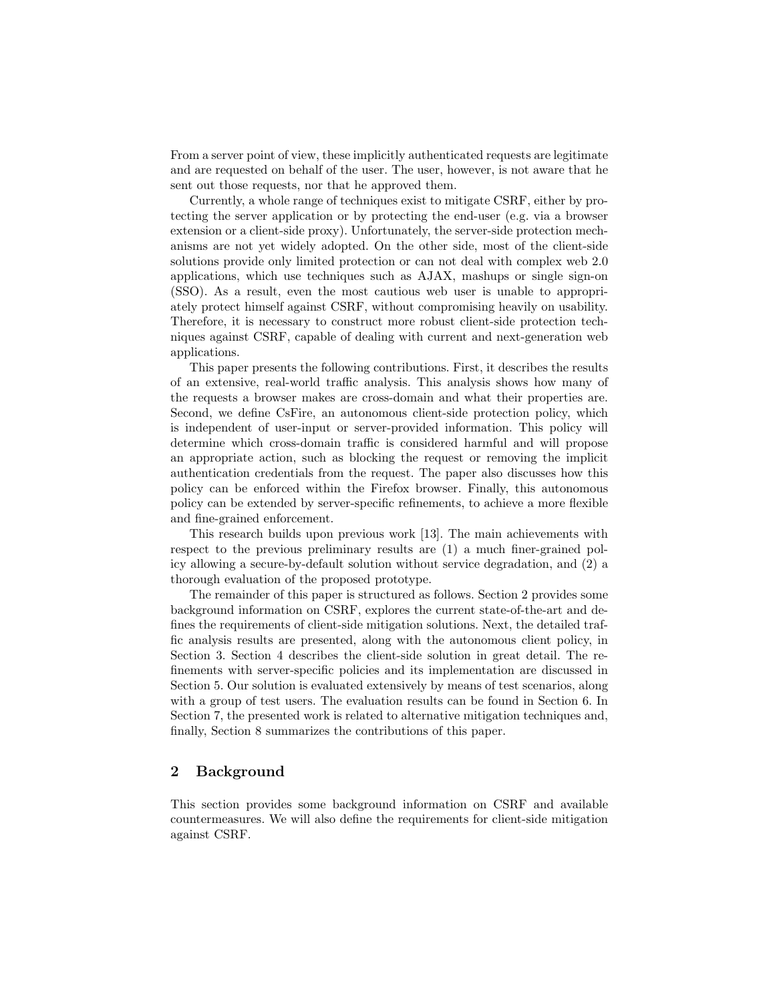From a server point of view, these implicitly authenticated requests are legitimate and are requested on behalf of the user. The user, however, is not aware that he sent out those requests, nor that he approved them.

Currently, a whole range of techniques exist to mitigate CSRF, either by protecting the server application or by protecting the end-user (e.g. via a browser extension or a client-side proxy). Unfortunately, the server-side protection mechanisms are not yet widely adopted. On the other side, most of the client-side solutions provide only limited protection or can not deal with complex web 2.0 applications, which use techniques such as AJAX, mashups or single sign-on (SSO). As a result, even the most cautious web user is unable to appropriately protect himself against CSRF, without compromising heavily on usability. Therefore, it is necessary to construct more robust client-side protection techniques against CSRF, capable of dealing with current and next-generation web applications.

This paper presents the following contributions. First, it describes the results of an extensive, real-world traffic analysis. This analysis shows how many of the requests a browser makes are cross-domain and what their properties are. Second, we define CsFire, an autonomous client-side protection policy, which is independent of user-input or server-provided information. This policy will determine which cross-domain traffic is considered harmful and will propose an appropriate action, such as blocking the request or removing the implicit authentication credentials from the request. The paper also discusses how this policy can be enforced within the Firefox browser. Finally, this autonomous policy can be extended by server-specific refinements, to achieve a more flexible and fine-grained enforcement.

This research builds upon previous work [13]. The main achievements with respect to the previous preliminary results are (1) a much finer-grained policy allowing a secure-by-default solution without service degradation, and (2) a thorough evaluation of the proposed prototype.

The remainder of this paper is structured as follows. Section 2 provides some background information on CSRF, explores the current state-of-the-art and defines the requirements of client-side mitigation solutions. Next, the detailed traffic analysis results are presented, along with the autonomous client policy, in Section 3. Section 4 describes the client-side solution in great detail. The refinements with server-specific policies and its implementation are discussed in Section 5. Our solution is evaluated extensively by means of test scenarios, along with a group of test users. The evaluation results can be found in Section 6. In Section 7, the presented work is related to alternative mitigation techniques and, finally, Section 8 summarizes the contributions of this paper.

# 2 Background

This section provides some background information on CSRF and available countermeasures. We will also define the requirements for client-side mitigation against CSRF.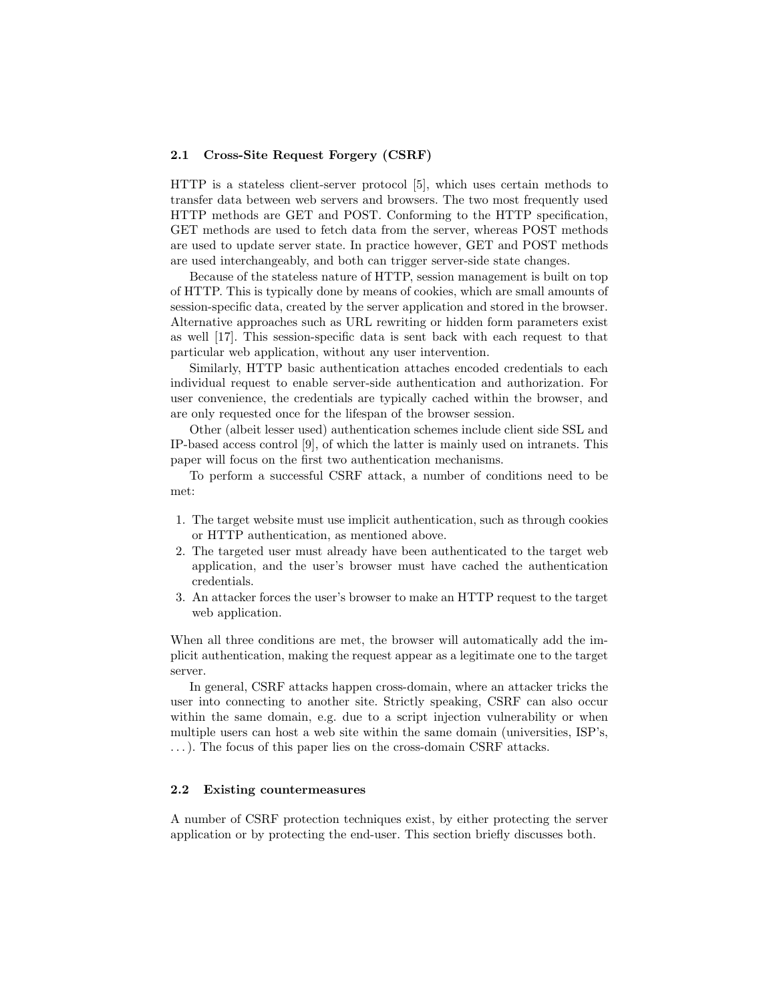### 2.1 Cross-Site Request Forgery (CSRF)

HTTP is a stateless client-server protocol [5], which uses certain methods to transfer data between web servers and browsers. The two most frequently used HTTP methods are GET and POST. Conforming to the HTTP specification, GET methods are used to fetch data from the server, whereas POST methods are used to update server state. In practice however, GET and POST methods are used interchangeably, and both can trigger server-side state changes.

Because of the stateless nature of HTTP, session management is built on top of HTTP. This is typically done by means of cookies, which are small amounts of session-specific data, created by the server application and stored in the browser. Alternative approaches such as URL rewriting or hidden form parameters exist as well [17]. This session-specific data is sent back with each request to that particular web application, without any user intervention.

Similarly, HTTP basic authentication attaches encoded credentials to each individual request to enable server-side authentication and authorization. For user convenience, the credentials are typically cached within the browser, and are only requested once for the lifespan of the browser session.

Other (albeit lesser used) authentication schemes include client side SSL and IP-based access control [9], of which the latter is mainly used on intranets. This paper will focus on the first two authentication mechanisms.

To perform a successful CSRF attack, a number of conditions need to be met:

- 1. The target website must use implicit authentication, such as through cookies or HTTP authentication, as mentioned above.
- 2. The targeted user must already have been authenticated to the target web application, and the user's browser must have cached the authentication credentials.
- 3. An attacker forces the user's browser to make an HTTP request to the target web application.

When all three conditions are met, the browser will automatically add the implicit authentication, making the request appear as a legitimate one to the target server.

In general, CSRF attacks happen cross-domain, where an attacker tricks the user into connecting to another site. Strictly speaking, CSRF can also occur within the same domain, e.g. due to a script injection vulnerability or when multiple users can host a web site within the same domain (universities, ISP's, . . . ). The focus of this paper lies on the cross-domain CSRF attacks.

#### 2.2 Existing countermeasures

A number of CSRF protection techniques exist, by either protecting the server application or by protecting the end-user. This section briefly discusses both.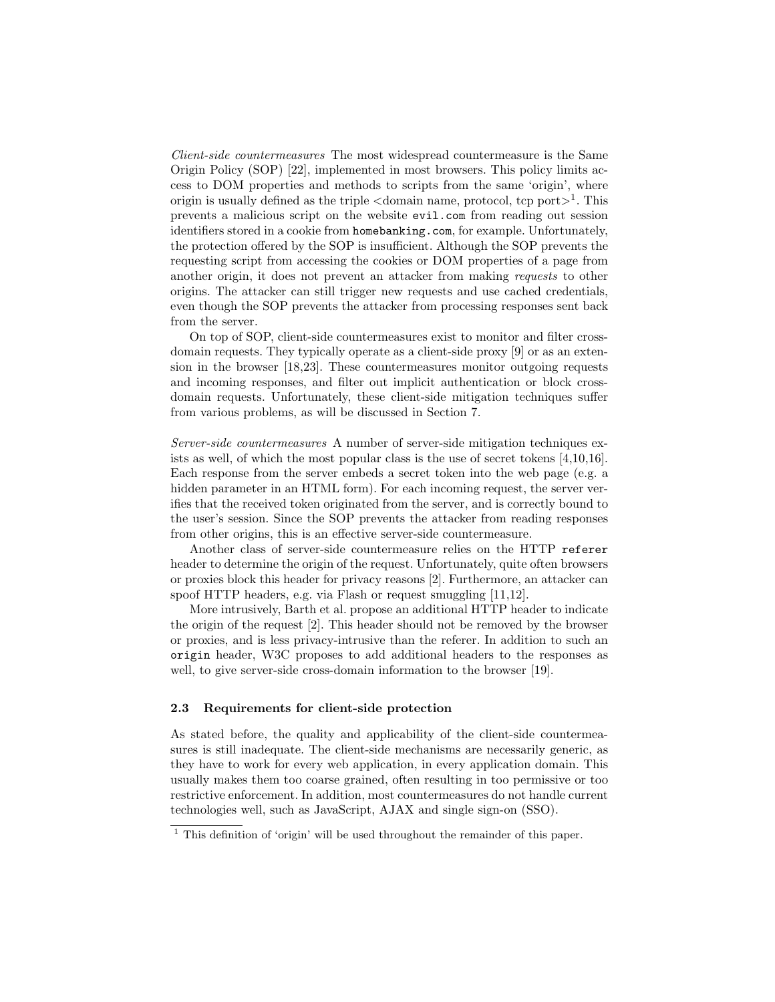Client-side countermeasures The most widespread countermeasure is the Same Origin Policy (SOP) [22], implemented in most browsers. This policy limits access to DOM properties and methods to scripts from the same 'origin', where origin is usually defined as the triple  $\leq$  domain name, protocol, tcp port $>^1$ . This prevents a malicious script on the website evil.com from reading out session identifiers stored in a cookie from homebanking.com, for example. Unfortunately, the protection offered by the SOP is insufficient. Although the SOP prevents the requesting script from accessing the cookies or DOM properties of a page from another origin, it does not prevent an attacker from making requests to other origins. The attacker can still trigger new requests and use cached credentials, even though the SOP prevents the attacker from processing responses sent back from the server.

On top of SOP, client-side countermeasures exist to monitor and filter crossdomain requests. They typically operate as a client-side proxy [9] or as an extension in the browser [18,23]. These countermeasures monitor outgoing requests and incoming responses, and filter out implicit authentication or block crossdomain requests. Unfortunately, these client-side mitigation techniques suffer from various problems, as will be discussed in Section 7.

Server-side countermeasures A number of server-side mitigation techniques exists as well, of which the most popular class is the use of secret tokens [4,10,16]. Each response from the server embeds a secret token into the web page (e.g. a hidden parameter in an HTML form). For each incoming request, the server verifies that the received token originated from the server, and is correctly bound to the user's session. Since the SOP prevents the attacker from reading responses from other origins, this is an effective server-side countermeasure.

Another class of server-side countermeasure relies on the HTTP referer header to determine the origin of the request. Unfortunately, quite often browsers or proxies block this header for privacy reasons [2]. Furthermore, an attacker can spoof HTTP headers, e.g. via Flash or request smuggling [11,12].

More intrusively, Barth et al. propose an additional HTTP header to indicate the origin of the request [2]. This header should not be removed by the browser or proxies, and is less privacy-intrusive than the referer. In addition to such an origin header, W3C proposes to add additional headers to the responses as well, to give server-side cross-domain information to the browser [19].

#### 2.3 Requirements for client-side protection

As stated before, the quality and applicability of the client-side countermeasures is still inadequate. The client-side mechanisms are necessarily generic, as they have to work for every web application, in every application domain. This usually makes them too coarse grained, often resulting in too permissive or too restrictive enforcement. In addition, most countermeasures do not handle current technologies well, such as JavaScript, AJAX and single sign-on (SSO).

<sup>&</sup>lt;sup>1</sup> This definition of 'origin' will be used throughout the remainder of this paper.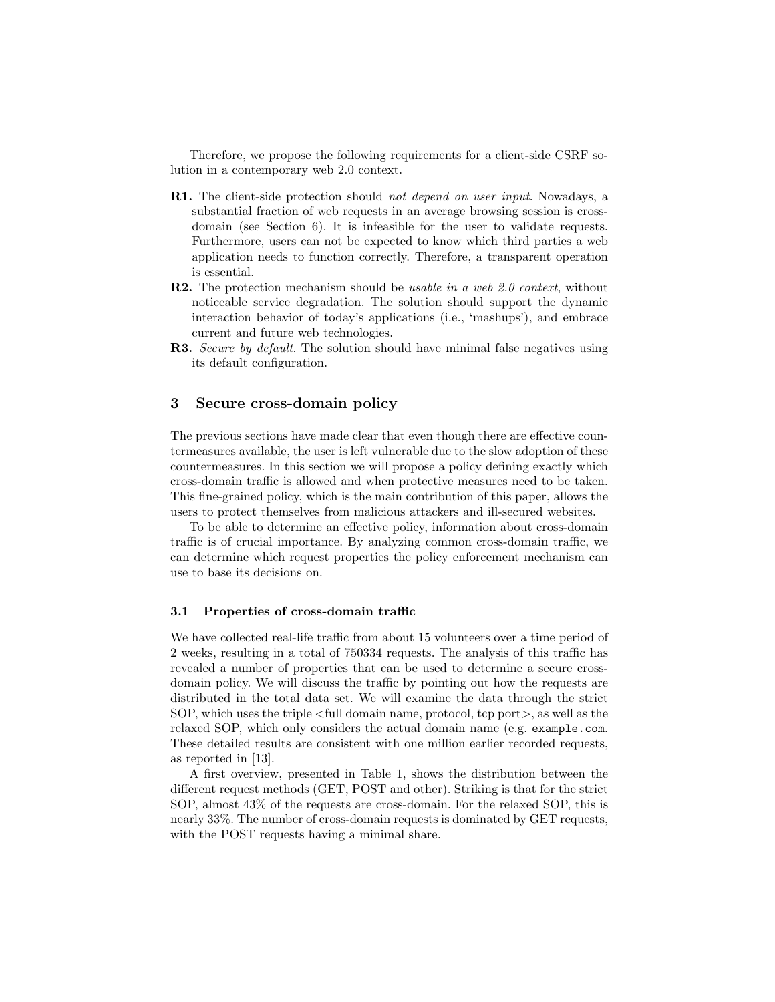Therefore, we propose the following requirements for a client-side CSRF solution in a contemporary web 2.0 context.

- **R1.** The client-side protection should not depend on user input. Nowadays, a substantial fraction of web requests in an average browsing session is crossdomain (see Section 6). It is infeasible for the user to validate requests. Furthermore, users can not be expected to know which third parties a web application needs to function correctly. Therefore, a transparent operation is essential.
- **R2.** The protection mechanism should be usable in a web 2.0 context, without noticeable service degradation. The solution should support the dynamic interaction behavior of today's applications (i.e., 'mashups'), and embrace current and future web technologies.
- R3. Secure by default. The solution should have minimal false negatives using its default configuration.

### 3 Secure cross-domain policy

The previous sections have made clear that even though there are effective countermeasures available, the user is left vulnerable due to the slow adoption of these countermeasures. In this section we will propose a policy defining exactly which cross-domain traffic is allowed and when protective measures need to be taken. This fine-grained policy, which is the main contribution of this paper, allows the users to protect themselves from malicious attackers and ill-secured websites.

To be able to determine an effective policy, information about cross-domain traffic is of crucial importance. By analyzing common cross-domain traffic, we can determine which request properties the policy enforcement mechanism can use to base its decisions on.

#### 3.1 Properties of cross-domain traffic

We have collected real-life traffic from about 15 volunteers over a time period of 2 weeks, resulting in a total of 750334 requests. The analysis of this traffic has revealed a number of properties that can be used to determine a secure crossdomain policy. We will discuss the traffic by pointing out how the requests are distributed in the total data set. We will examine the data through the strict SOP, which uses the triple  $\lt$  full domain name, protocol, tcp port $>$ , as well as the relaxed SOP, which only considers the actual domain name (e.g. example.com. These detailed results are consistent with one million earlier recorded requests, as reported in [13].

A first overview, presented in Table 1, shows the distribution between the different request methods (GET, POST and other). Striking is that for the strict SOP, almost 43% of the requests are cross-domain. For the relaxed SOP, this is nearly 33%. The number of cross-domain requests is dominated by GET requests, with the POST requests having a minimal share.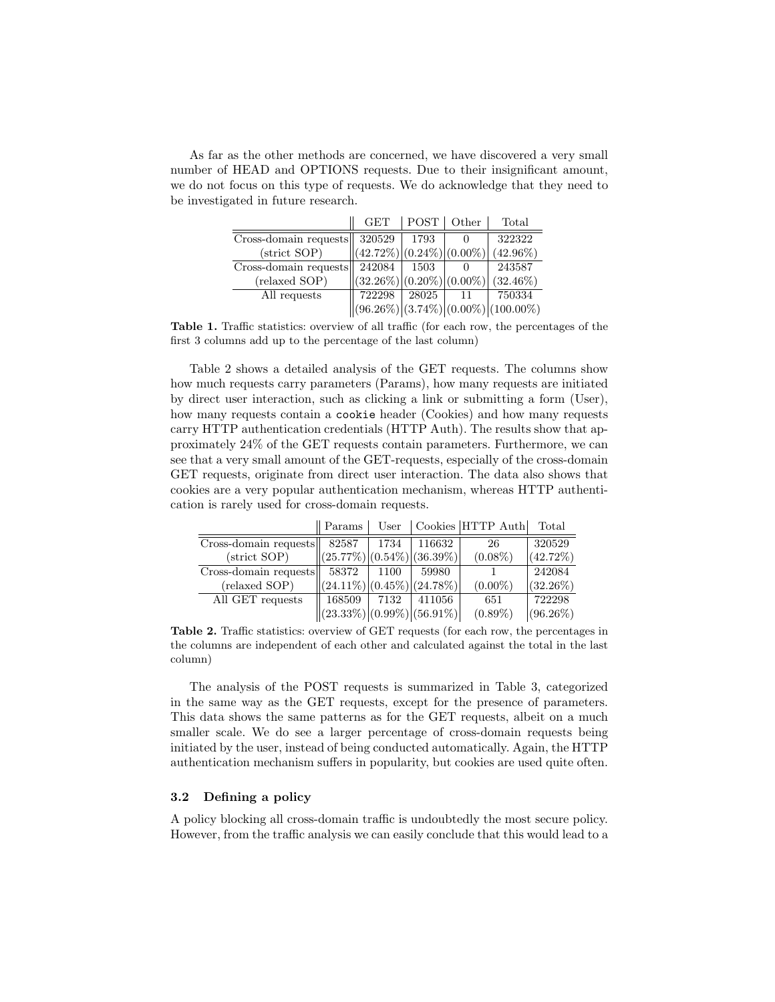As far as the other methods are concerned, we have discovered a very small number of HEAD and OPTIONS requests. Due to their insignificant amount, we do not focus on this type of requests. We do acknowledge that they need to be investigated in future research.

|                       | <b>GET</b>                        | <b>POST</b> | Other | Total                                 |
|-----------------------|-----------------------------------|-------------|-------|---------------------------------------|
| Cross-domain requests | 320529                            | 1793        |       | 322322                                |
| (strict SOP)          | $(42.72\%)$ $(0.24\%)$ $(0.00\%)$ |             |       | $(42.96\%)$                           |
| Cross-domain requests | 242084                            | 1503        |       | 243587                                |
| (relaxed SOP)         | $(32.26\%)$ $(0.20\%)$ $(0.00\%)$ |             |       | $(32.46\%)$                           |
| All requests          | 722298                            | 28025       |       | 750334                                |
|                       |                                   |             |       | $(96.26\%)(3.74\%)(0.00\%)(100.00\%)$ |

Table 1. Traffic statistics: overview of all traffic (for each row, the percentages of the first 3 columns add up to the percentage of the last column)

Table 2 shows a detailed analysis of the GET requests. The columns show how much requests carry parameters (Params), how many requests are initiated by direct user interaction, such as clicking a link or submitting a form (User), how many requests contain a cookie header (Cookies) and how many requests carry HTTP authentication credentials (HTTP Auth). The results show that approximately 24% of the GET requests contain parameters. Furthermore, we can see that a very small amount of the GET-requests, especially of the cross-domain GET requests, originate from direct user interaction. The data also shows that cookies are a very popular authentication mechanism, whereas HTTP authentication is rarely used for cross-domain requests.

|                       | Params                           | User |                                    | Cookies HTTP Auth | Total       |
|-----------------------|----------------------------------|------|------------------------------------|-------------------|-------------|
| Cross-domain requests | 82587                            | 1734 | 116632                             | 26                | 320529      |
| (strict SOP)          |                                  |      | $(25.77\%)$ $(0.54\%)$ $(36.39\%)$ | $(0.08\%)$        | $(42.72\%)$ |
| Cross-domain requests | 58372                            | 1100 | 59980                              |                   | 242084      |
| (relaxed SOP)         |                                  |      | $(24.11\%)$ $(0.45\%)$ $(24.78\%)$ | $(0.00\%)$        | $(32.26\%)$ |
| All GET requests      | 168509                           | 7132 | 411056                             | 651               | 722298      |
|                       | $  (23.33\%) (0.99\%) (56.91\%)$ |      |                                    | $(0.89\%)$        | $(96.26\%)$ |

Table 2. Traffic statistics: overview of GET requests (for each row, the percentages in the columns are independent of each other and calculated against the total in the last column)

The analysis of the POST requests is summarized in Table 3, categorized in the same way as the GET requests, except for the presence of parameters. This data shows the same patterns as for the GET requests, albeit on a much smaller scale. We do see a larger percentage of cross-domain requests being initiated by the user, instead of being conducted automatically. Again, the HTTP authentication mechanism suffers in popularity, but cookies are used quite often.

#### 3.2 Defining a policy

A policy blocking all cross-domain traffic is undoubtedly the most secure policy. However, from the traffic analysis we can easily conclude that this would lead to a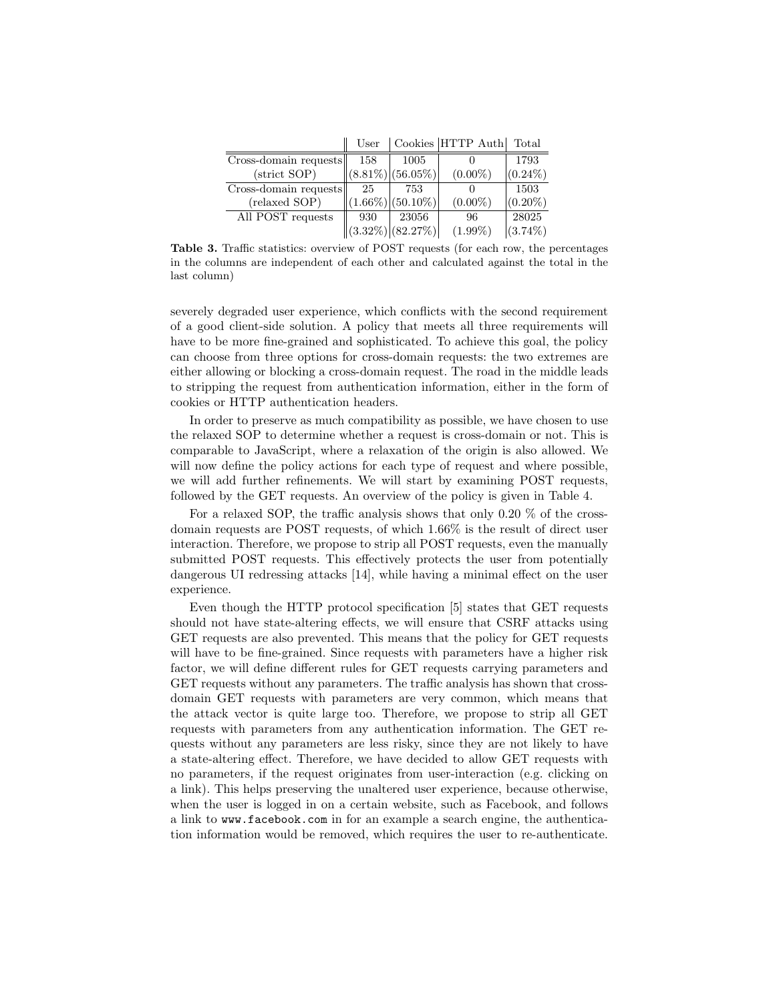|                       | User       |                        | Cookies HTTP Auth | Total      |
|-----------------------|------------|------------------------|-------------------|------------|
| Cross-domain requests | 158        | 1005                   |                   | 1793       |
| (strict SOP)          |            | $(8.81\%)$ (56.05%)    | $(0.00\%)$        | $(0.24\%)$ |
| Cross-domain requests | 25         | 753                    |                   | 1503       |
| (relaxed SOP)         | $(1.66\%)$ | $(50.10\%)$            | $(0.00\%)$        | $(0.20\%)$ |
| All POST requests     | 930        | 23056                  | 96                | 28025      |
|                       |            | $ (3.32\%) (82.27\%) $ | $(1.99\%)$        | $(3.74\%)$ |

Table 3. Traffic statistics: overview of POST requests (for each row, the percentages in the columns are independent of each other and calculated against the total in the last column)

severely degraded user experience, which conflicts with the second requirement of a good client-side solution. A policy that meets all three requirements will have to be more fine-grained and sophisticated. To achieve this goal, the policy can choose from three options for cross-domain requests: the two extremes are either allowing or blocking a cross-domain request. The road in the middle leads to stripping the request from authentication information, either in the form of cookies or HTTP authentication headers.

In order to preserve as much compatibility as possible, we have chosen to use the relaxed SOP to determine whether a request is cross-domain or not. This is comparable to JavaScript, where a relaxation of the origin is also allowed. We will now define the policy actions for each type of request and where possible, we will add further refinements. We will start by examining POST requests, followed by the GET requests. An overview of the policy is given in Table 4.

For a relaxed SOP, the traffic analysis shows that only 0.20  $\%$  of the crossdomain requests are POST requests, of which 1.66% is the result of direct user interaction. Therefore, we propose to strip all POST requests, even the manually submitted POST requests. This effectively protects the user from potentially dangerous UI redressing attacks [14], while having a minimal effect on the user experience.

Even though the HTTP protocol specification [5] states that GET requests should not have state-altering effects, we will ensure that CSRF attacks using GET requests are also prevented. This means that the policy for GET requests will have to be fine-grained. Since requests with parameters have a higher risk factor, we will define different rules for GET requests carrying parameters and GET requests without any parameters. The traffic analysis has shown that crossdomain GET requests with parameters are very common, which means that the attack vector is quite large too. Therefore, we propose to strip all GET requests with parameters from any authentication information. The GET requests without any parameters are less risky, since they are not likely to have a state-altering effect. Therefore, we have decided to allow GET requests with no parameters, if the request originates from user-interaction (e.g. clicking on a link). This helps preserving the unaltered user experience, because otherwise, when the user is logged in on a certain website, such as Facebook, and follows a link to www.facebook.com in for an example a search engine, the authentication information would be removed, which requires the user to re-authenticate.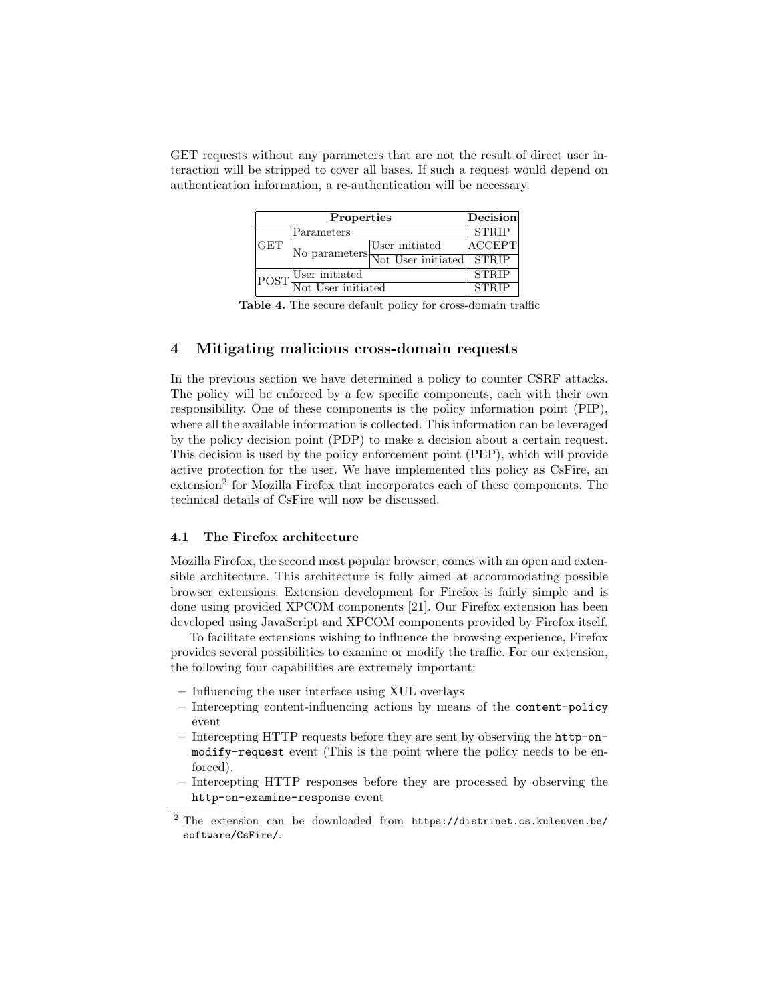GET requests without any parameters that are not the result of direct user interaction will be stripped to cover all bases. If such a request would depend on authentication information, a re-authentication will be necessary.

| Properties            |                                                                                                                                                      | Decision       |              |
|-----------------------|------------------------------------------------------------------------------------------------------------------------------------------------------|----------------|--------------|
|                       | Parameters                                                                                                                                           |                | <b>STRIP</b> |
| <b>SET</b>            | $\label{eq:nonlinear} \begin{array}{ l } \hline \text{No parameters} \textcolor{blue}{\mid} \textcolor{blue}{\text{Not User initiated}} \end{array}$ | User initiated | $ $ ACCEPT   |
|                       |                                                                                                                                                      |                | <b>STRIP</b> |
| $POST$ User initiated |                                                                                                                                                      | <b>STRIP</b>   |              |
|                       | Not User initiated                                                                                                                                   |                | <b>STRIP</b> |

Table 4. The secure default policy for cross-domain traffic

### 4 Mitigating malicious cross-domain requests

In the previous section we have determined a policy to counter CSRF attacks. The policy will be enforced by a few specific components, each with their own responsibility. One of these components is the policy information point (PIP), where all the available information is collected. This information can be leveraged by the policy decision point (PDP) to make a decision about a certain request. This decision is used by the policy enforcement point (PEP), which will provide active protection for the user. We have implemented this policy as CsFire, an extension<sup>2</sup> for Mozilla Firefox that incorporates each of these components. The technical details of CsFire will now be discussed.

#### 4.1 The Firefox architecture

Mozilla Firefox, the second most popular browser, comes with an open and extensible architecture. This architecture is fully aimed at accommodating possible browser extensions. Extension development for Firefox is fairly simple and is done using provided XPCOM components [21]. Our Firefox extension has been developed using JavaScript and XPCOM components provided by Firefox itself.

To facilitate extensions wishing to influence the browsing experience, Firefox provides several possibilities to examine or modify the traffic. For our extension, the following four capabilities are extremely important:

- Influencing the user interface using XUL overlays
- Intercepting content-influencing actions by means of the content-policy event
- Intercepting HTTP requests before they are sent by observing the http-onmodify-request event (This is the point where the policy needs to be enforced).
- Intercepting HTTP responses before they are processed by observing the http-on-examine-response event

<sup>2</sup> The extension can be downloaded from https://distrinet.cs.kuleuven.be/ software/CsFire/.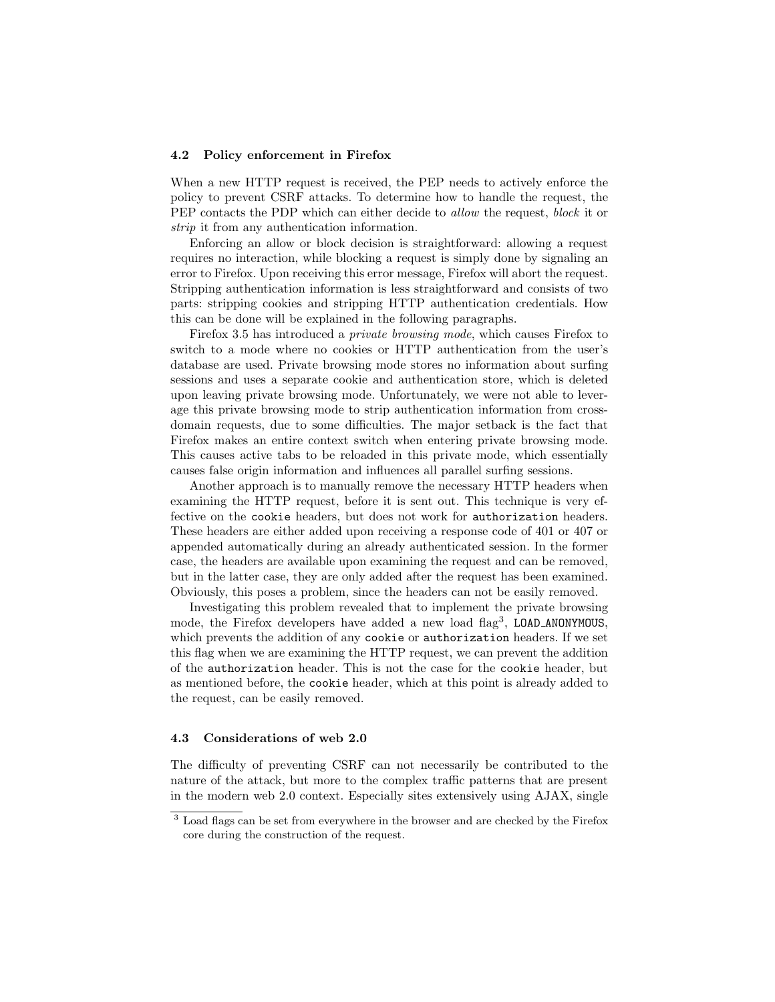#### 4.2 Policy enforcement in Firefox

When a new HTTP request is received, the PEP needs to actively enforce the policy to prevent CSRF attacks. To determine how to handle the request, the PEP contacts the PDP which can either decide to *allow* the request, *block* it or strip it from any authentication information.

Enforcing an allow or block decision is straightforward: allowing a request requires no interaction, while blocking a request is simply done by signaling an error to Firefox. Upon receiving this error message, Firefox will abort the request. Stripping authentication information is less straightforward and consists of two parts: stripping cookies and stripping HTTP authentication credentials. How this can be done will be explained in the following paragraphs.

Firefox 3.5 has introduced a private browsing mode, which causes Firefox to switch to a mode where no cookies or HTTP authentication from the user's database are used. Private browsing mode stores no information about surfing sessions and uses a separate cookie and authentication store, which is deleted upon leaving private browsing mode. Unfortunately, we were not able to leverage this private browsing mode to strip authentication information from crossdomain requests, due to some difficulties. The major setback is the fact that Firefox makes an entire context switch when entering private browsing mode. This causes active tabs to be reloaded in this private mode, which essentially causes false origin information and influences all parallel surfing sessions.

Another approach is to manually remove the necessary HTTP headers when examining the HTTP request, before it is sent out. This technique is very effective on the cookie headers, but does not work for authorization headers. These headers are either added upon receiving a response code of 401 or 407 or appended automatically during an already authenticated session. In the former case, the headers are available upon examining the request and can be removed, but in the latter case, they are only added after the request has been examined. Obviously, this poses a problem, since the headers can not be easily removed.

Investigating this problem revealed that to implement the private browsing mode, the Firefox developers have added a new load flag<sup>3</sup>, LOAD ANONYMOUS, which prevents the addition of any cookie or authorization headers. If we set this flag when we are examining the HTTP request, we can prevent the addition of the authorization header. This is not the case for the cookie header, but as mentioned before, the cookie header, which at this point is already added to the request, can be easily removed.

#### 4.3 Considerations of web 2.0

The difficulty of preventing CSRF can not necessarily be contributed to the nature of the attack, but more to the complex traffic patterns that are present in the modern web 2.0 context. Especially sites extensively using AJAX, single

<sup>&</sup>lt;sup>3</sup> Load flags can be set from everywhere in the browser and are checked by the Firefox core during the construction of the request.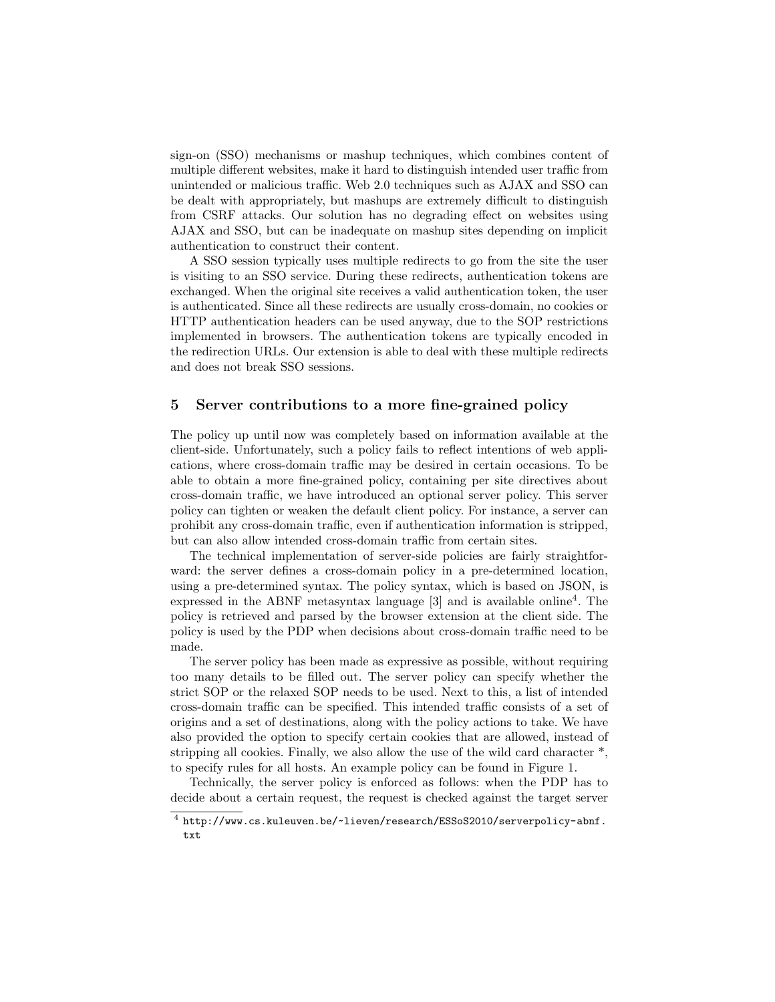sign-on (SSO) mechanisms or mashup techniques, which combines content of multiple different websites, make it hard to distinguish intended user traffic from unintended or malicious traffic. Web 2.0 techniques such as AJAX and SSO can be dealt with appropriately, but mashups are extremely difficult to distinguish from CSRF attacks. Our solution has no degrading effect on websites using AJAX and SSO, but can be inadequate on mashup sites depending on implicit authentication to construct their content.

A SSO session typically uses multiple redirects to go from the site the user is visiting to an SSO service. During these redirects, authentication tokens are exchanged. When the original site receives a valid authentication token, the user is authenticated. Since all these redirects are usually cross-domain, no cookies or HTTP authentication headers can be used anyway, due to the SOP restrictions implemented in browsers. The authentication tokens are typically encoded in the redirection URLs. Our extension is able to deal with these multiple redirects and does not break SSO sessions.

### 5 Server contributions to a more fine-grained policy

The policy up until now was completely based on information available at the client-side. Unfortunately, such a policy fails to reflect intentions of web applications, where cross-domain traffic may be desired in certain occasions. To be able to obtain a more fine-grained policy, containing per site directives about cross-domain traffic, we have introduced an optional server policy. This server policy can tighten or weaken the default client policy. For instance, a server can prohibit any cross-domain traffic, even if authentication information is stripped, but can also allow intended cross-domain traffic from certain sites.

The technical implementation of server-side policies are fairly straightforward: the server defines a cross-domain policy in a pre-determined location, using a pre-determined syntax. The policy syntax, which is based on JSON, is expressed in the ABNF metasyntax language  $[3]$  and is available online<sup>4</sup>. The policy is retrieved and parsed by the browser extension at the client side. The policy is used by the PDP when decisions about cross-domain traffic need to be made.

The server policy has been made as expressive as possible, without requiring too many details to be filled out. The server policy can specify whether the strict SOP or the relaxed SOP needs to be used. Next to this, a list of intended cross-domain traffic can be specified. This intended traffic consists of a set of origins and a set of destinations, along with the policy actions to take. We have also provided the option to specify certain cookies that are allowed, instead of stripping all cookies. Finally, we also allow the use of the wild card character \*, to specify rules for all hosts. An example policy can be found in Figure 1.

Technically, the server policy is enforced as follows: when the PDP has to decide about a certain request, the request is checked against the target server

 $^4$  http://www.cs.kuleuven.be/~lieven/research/ESSoS2010/serverpolicy-abnf. txt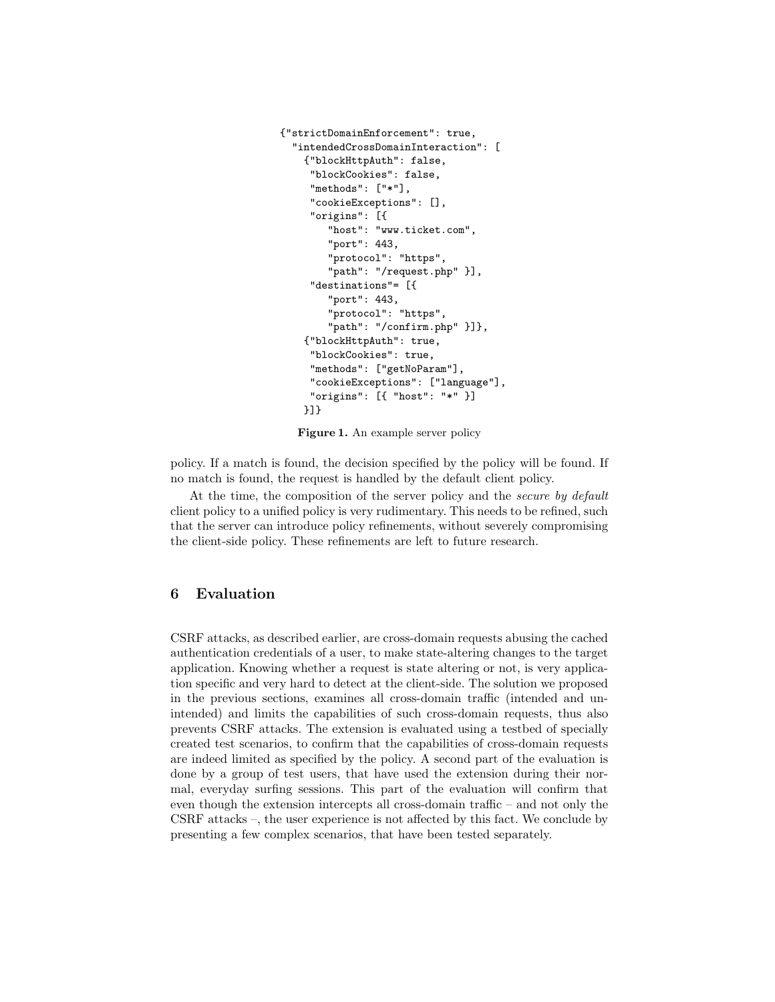```
{"strictDomainEnforcement": true,
"intendedCrossDomainInteraction": [
  {"blockHttpAuth": false,
   "blockCookies": false,
   "methods": ["*"],
   "cookieExceptions": [],
   "origins": [{
      "host": "www.ticket.com",
      "port": 443,
      "protocol": "https",
      "path": "/request.php" }],
   "destinations"= [{
      "port": 443,
      "protocol": "https",
      "path": "/confirm.php" }]},
  {"blockHttpAuth": true,
   "blockCookies": true,
   "methods": ["getNoParam"],
   "cookieExceptions": ["language"],
   "origins": [{ "host": "*" }]
  }]}
```
Figure 1. An example server policy

policy. If a match is found, the decision specified by the policy will be found. If no match is found, the request is handled by the default client policy.

At the time, the composition of the server policy and the *secure by default* client policy to a unified policy is very rudimentary. This needs to be refined, such that the server can introduce policy refinements, without severely compromising the client-side policy. These refinements are left to future research.

# 6 Evaluation

CSRF attacks, as described earlier, are cross-domain requests abusing the cached authentication credentials of a user, to make state-altering changes to the target application. Knowing whether a request is state altering or not, is very application specific and very hard to detect at the client-side. The solution we proposed in the previous sections, examines all cross-domain traffic (intended and unintended) and limits the capabilities of such cross-domain requests, thus also prevents CSRF attacks. The extension is evaluated using a testbed of specially created test scenarios, to confirm that the capabilities of cross-domain requests are indeed limited as specified by the policy. A second part of the evaluation is done by a group of test users, that have used the extension during their normal, everyday surfing sessions. This part of the evaluation will confirm that even though the extension intercepts all cross-domain traffic – and not only the CSRF attacks –, the user experience is not affected by this fact. We conclude by presenting a few complex scenarios, that have been tested separately.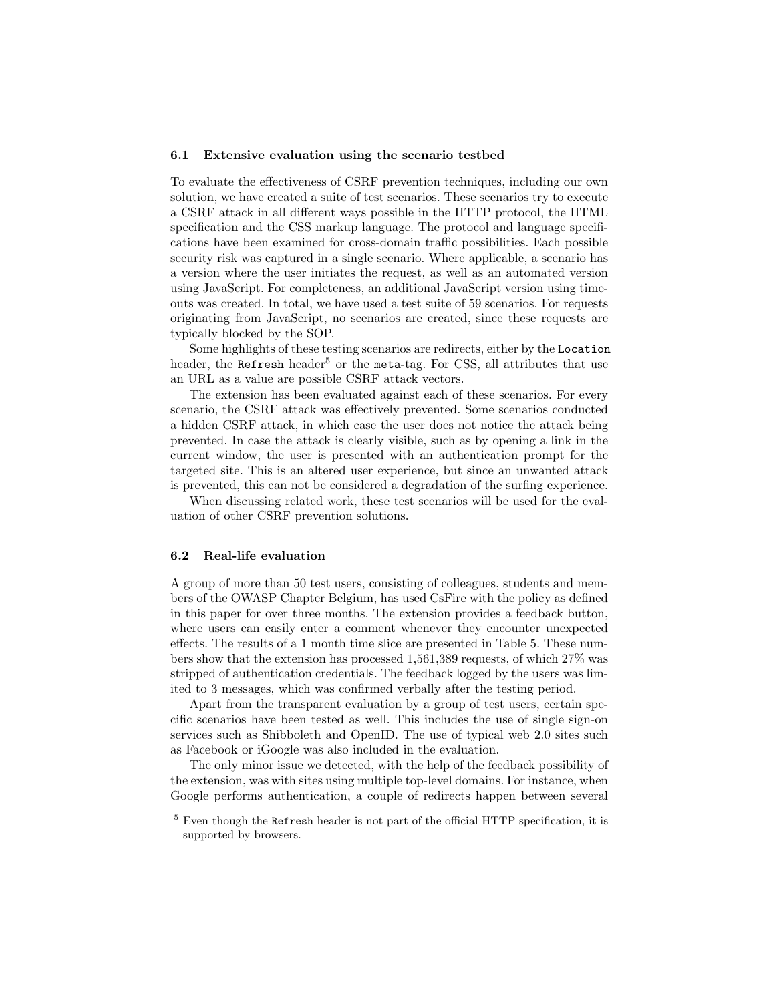#### 6.1 Extensive evaluation using the scenario testbed

To evaluate the effectiveness of CSRF prevention techniques, including our own solution, we have created a suite of test scenarios. These scenarios try to execute a CSRF attack in all different ways possible in the HTTP protocol, the HTML specification and the CSS markup language. The protocol and language specifications have been examined for cross-domain traffic possibilities. Each possible security risk was captured in a single scenario. Where applicable, a scenario has a version where the user initiates the request, as well as an automated version using JavaScript. For completeness, an additional JavaScript version using timeouts was created. In total, we have used a test suite of 59 scenarios. For requests originating from JavaScript, no scenarios are created, since these requests are typically blocked by the SOP.

Some highlights of these testing scenarios are redirects, either by the Location header, the Refresh header<sup>5</sup> or the meta-tag. For CSS, all attributes that use an URL as a value are possible CSRF attack vectors.

The extension has been evaluated against each of these scenarios. For every scenario, the CSRF attack was effectively prevented. Some scenarios conducted a hidden CSRF attack, in which case the user does not notice the attack being prevented. In case the attack is clearly visible, such as by opening a link in the current window, the user is presented with an authentication prompt for the targeted site. This is an altered user experience, but since an unwanted attack is prevented, this can not be considered a degradation of the surfing experience.

When discussing related work, these test scenarios will be used for the evaluation of other CSRF prevention solutions.

### 6.2 Real-life evaluation

A group of more than 50 test users, consisting of colleagues, students and members of the OWASP Chapter Belgium, has used CsFire with the policy as defined in this paper for over three months. The extension provides a feedback button, where users can easily enter a comment whenever they encounter unexpected effects. The results of a 1 month time slice are presented in Table 5. These numbers show that the extension has processed 1,561,389 requests, of which 27% was stripped of authentication credentials. The feedback logged by the users was limited to 3 messages, which was confirmed verbally after the testing period.

Apart from the transparent evaluation by a group of test users, certain specific scenarios have been tested as well. This includes the use of single sign-on services such as Shibboleth and OpenID. The use of typical web 2.0 sites such as Facebook or iGoogle was also included in the evaluation.

The only minor issue we detected, with the help of the feedback possibility of the extension, was with sites using multiple top-level domains. For instance, when Google performs authentication, a couple of redirects happen between several

<sup>5</sup> Even though the Refresh header is not part of the official HTTP specification, it is supported by browsers.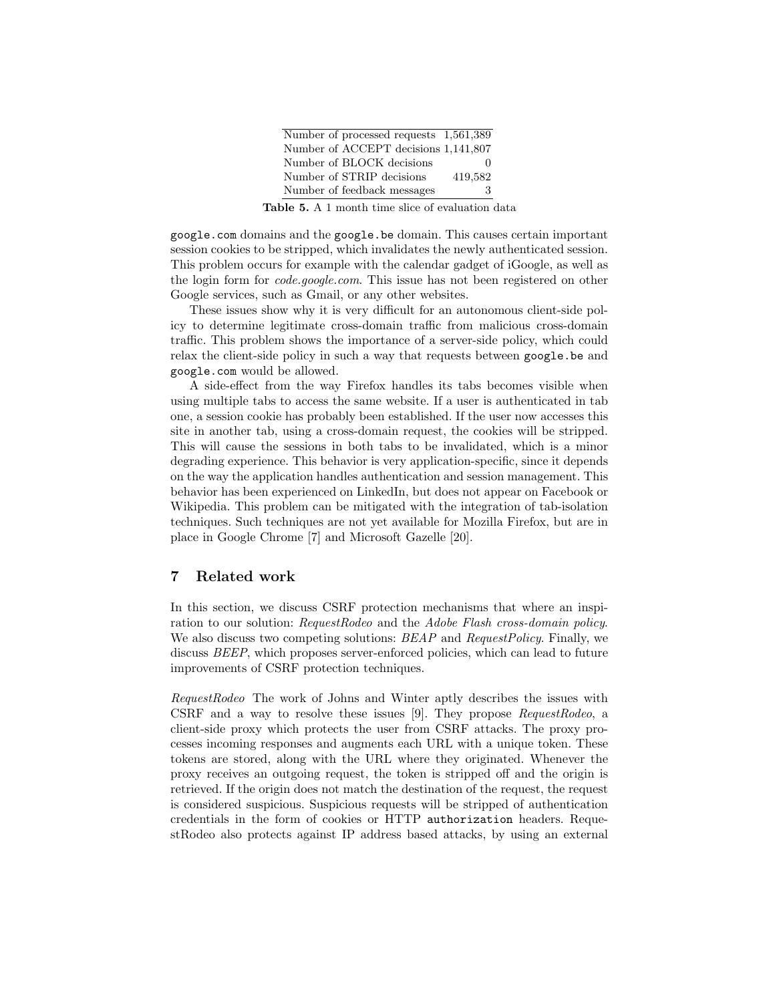| Number of processed requests 1,561,389 |         |
|----------------------------------------|---------|
| Number of ACCEPT decisions 1,141,807   |         |
| Number of BLOCK decisions              |         |
| Number of STRIP decisions              | 419,582 |
| Number of feedback messages            | з       |

Table 5. A 1 month time slice of evaluation data

google.com domains and the google.be domain. This causes certain important session cookies to be stripped, which invalidates the newly authenticated session. This problem occurs for example with the calendar gadget of iGoogle, as well as the login form for code.google.com. This issue has not been registered on other Google services, such as Gmail, or any other websites.

These issues show why it is very difficult for an autonomous client-side policy to determine legitimate cross-domain traffic from malicious cross-domain traffic. This problem shows the importance of a server-side policy, which could relax the client-side policy in such a way that requests between google.be and google.com would be allowed.

A side-effect from the way Firefox handles its tabs becomes visible when using multiple tabs to access the same website. If a user is authenticated in tab one, a session cookie has probably been established. If the user now accesses this site in another tab, using a cross-domain request, the cookies will be stripped. This will cause the sessions in both tabs to be invalidated, which is a minor degrading experience. This behavior is very application-specific, since it depends on the way the application handles authentication and session management. This behavior has been experienced on LinkedIn, but does not appear on Facebook or Wikipedia. This problem can be mitigated with the integration of tab-isolation techniques. Such techniques are not yet available for Mozilla Firefox, but are in place in Google Chrome [7] and Microsoft Gazelle [20].

# 7 Related work

In this section, we discuss CSRF protection mechanisms that where an inspiration to our solution: RequestRodeo and the Adobe Flash cross-domain policy. We also discuss two competing solutions: BEAP and RequestPolicy. Finally, we discuss *BEEP*, which proposes server-enforced policies, which can lead to future improvements of CSRF protection techniques.

RequestRodeo The work of Johns and Winter aptly describes the issues with CSRF and a way to resolve these issues [9]. They propose RequestRodeo, a client-side proxy which protects the user from CSRF attacks. The proxy processes incoming responses and augments each URL with a unique token. These tokens are stored, along with the URL where they originated. Whenever the proxy receives an outgoing request, the token is stripped off and the origin is retrieved. If the origin does not match the destination of the request, the request is considered suspicious. Suspicious requests will be stripped of authentication credentials in the form of cookies or HTTP authorization headers. RequestRodeo also protects against IP address based attacks, by using an external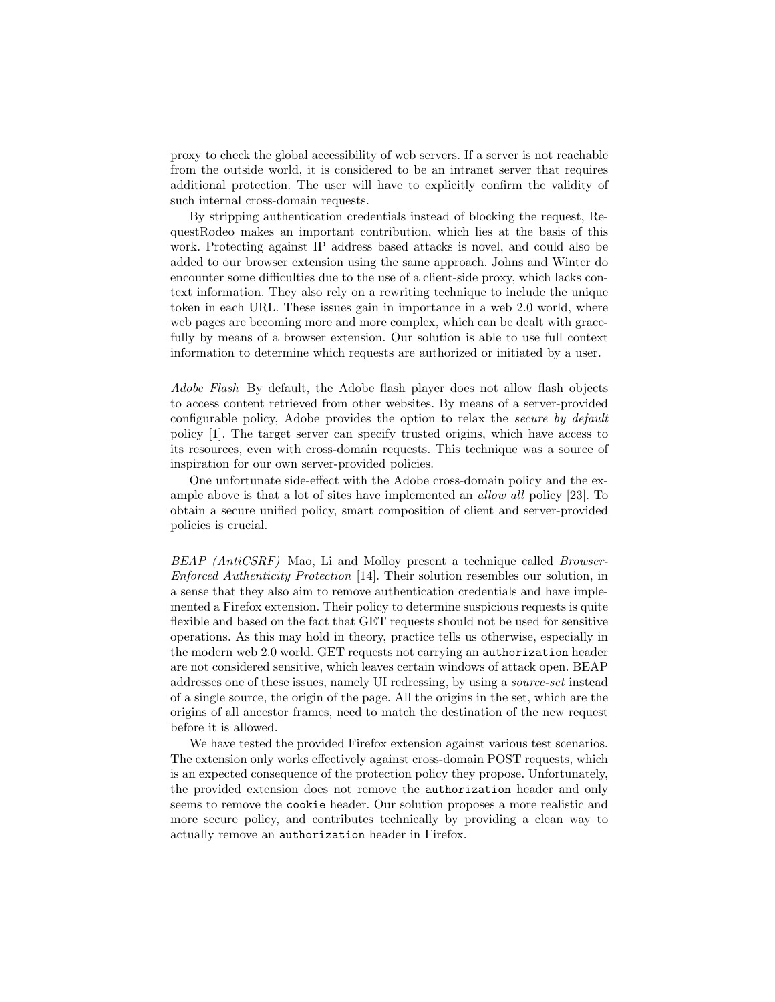proxy to check the global accessibility of web servers. If a server is not reachable from the outside world, it is considered to be an intranet server that requires additional protection. The user will have to explicitly confirm the validity of such internal cross-domain requests.

By stripping authentication credentials instead of blocking the request, RequestRodeo makes an important contribution, which lies at the basis of this work. Protecting against IP address based attacks is novel, and could also be added to our browser extension using the same approach. Johns and Winter do encounter some difficulties due to the use of a client-side proxy, which lacks context information. They also rely on a rewriting technique to include the unique token in each URL. These issues gain in importance in a web 2.0 world, where web pages are becoming more and more complex, which can be dealt with gracefully by means of a browser extension. Our solution is able to use full context information to determine which requests are authorized or initiated by a user.

Adobe Flash By default, the Adobe flash player does not allow flash objects to access content retrieved from other websites. By means of a server-provided configurable policy, Adobe provides the option to relax the secure by default policy [1]. The target server can specify trusted origins, which have access to its resources, even with cross-domain requests. This technique was a source of inspiration for our own server-provided policies.

One unfortunate side-effect with the Adobe cross-domain policy and the example above is that a lot of sites have implemented an allow all policy [23]. To obtain a secure unified policy, smart composition of client and server-provided policies is crucial.

BEAP (AntiCSRF) Mao, Li and Molloy present a technique called Browser-Enforced Authenticity Protection [14]. Their solution resembles our solution, in a sense that they also aim to remove authentication credentials and have implemented a Firefox extension. Their policy to determine suspicious requests is quite flexible and based on the fact that GET requests should not be used for sensitive operations. As this may hold in theory, practice tells us otherwise, especially in the modern web 2.0 world. GET requests not carrying an authorization header are not considered sensitive, which leaves certain windows of attack open. BEAP addresses one of these issues, namely UI redressing, by using a source-set instead of a single source, the origin of the page. All the origins in the set, which are the origins of all ancestor frames, need to match the destination of the new request before it is allowed.

We have tested the provided Firefox extension against various test scenarios. The extension only works effectively against cross-domain POST requests, which is an expected consequence of the protection policy they propose. Unfortunately, the provided extension does not remove the authorization header and only seems to remove the cookie header. Our solution proposes a more realistic and more secure policy, and contributes technically by providing a clean way to actually remove an authorization header in Firefox.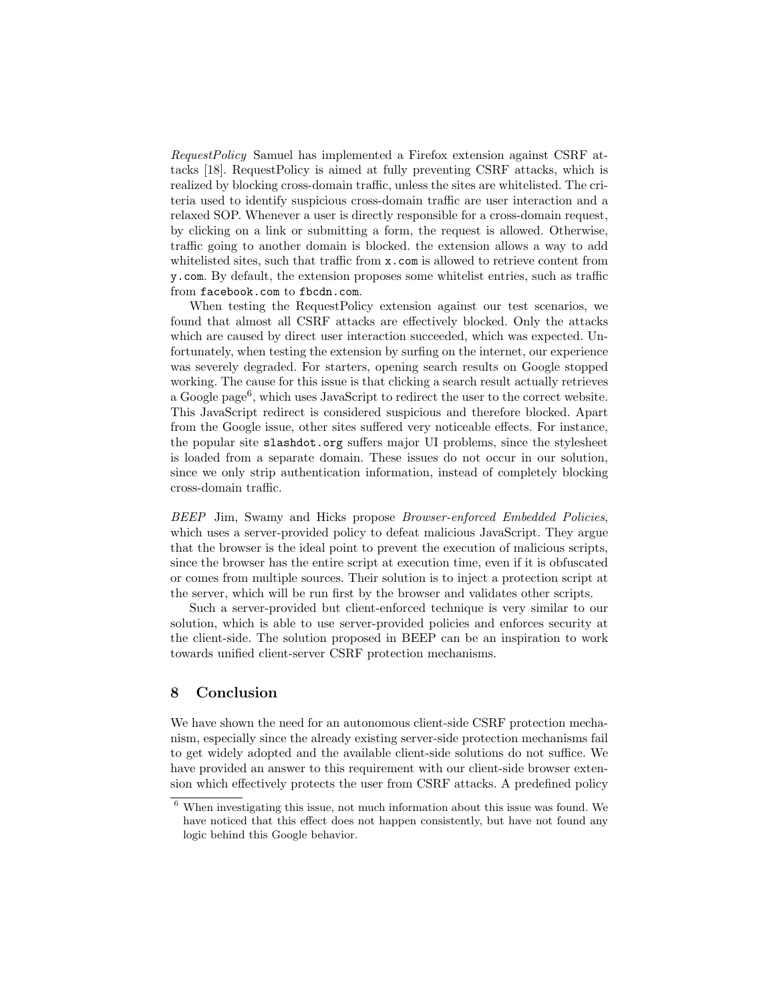RequestPolicy Samuel has implemented a Firefox extension against CSRF attacks [18]. RequestPolicy is aimed at fully preventing CSRF attacks, which is realized by blocking cross-domain traffic, unless the sites are whitelisted. The criteria used to identify suspicious cross-domain traffic are user interaction and a relaxed SOP. Whenever a user is directly responsible for a cross-domain request, by clicking on a link or submitting a form, the request is allowed. Otherwise, traffic going to another domain is blocked. the extension allows a way to add whitelisted sites, such that traffic from  $x$ , com is allowed to retrieve content from y.com. By default, the extension proposes some whitelist entries, such as traffic from facebook.com to fbcdn.com.

When testing the RequestPolicy extension against our test scenarios, we found that almost all CSRF attacks are effectively blocked. Only the attacks which are caused by direct user interaction succeeded, which was expected. Unfortunately, when testing the extension by surfing on the internet, our experience was severely degraded. For starters, opening search results on Google stopped working. The cause for this issue is that clicking a search result actually retrieves a Google page<sup>6</sup>, which uses JavaScript to redirect the user to the correct website. This JavaScript redirect is considered suspicious and therefore blocked. Apart from the Google issue, other sites suffered very noticeable effects. For instance, the popular site slashdot.org suffers major UI problems, since the stylesheet is loaded from a separate domain. These issues do not occur in our solution, since we only strip authentication information, instead of completely blocking cross-domain traffic.

BEEP Jim, Swamy and Hicks propose Browser-enforced Embedded Policies, which uses a server-provided policy to defeat malicious JavaScript. They argue that the browser is the ideal point to prevent the execution of malicious scripts, since the browser has the entire script at execution time, even if it is obfuscated or comes from multiple sources. Their solution is to inject a protection script at the server, which will be run first by the browser and validates other scripts.

Such a server-provided but client-enforced technique is very similar to our solution, which is able to use server-provided policies and enforces security at the client-side. The solution proposed in BEEP can be an inspiration to work towards unified client-server CSRF protection mechanisms.

# 8 Conclusion

We have shown the need for an autonomous client-side CSRF protection mechanism, especially since the already existing server-side protection mechanisms fail to get widely adopted and the available client-side solutions do not suffice. We have provided an answer to this requirement with our client-side browser extension which effectively protects the user from CSRF attacks. A predefined policy

<sup>6</sup> When investigating this issue, not much information about this issue was found. We have noticed that this effect does not happen consistently, but have not found any logic behind this Google behavior.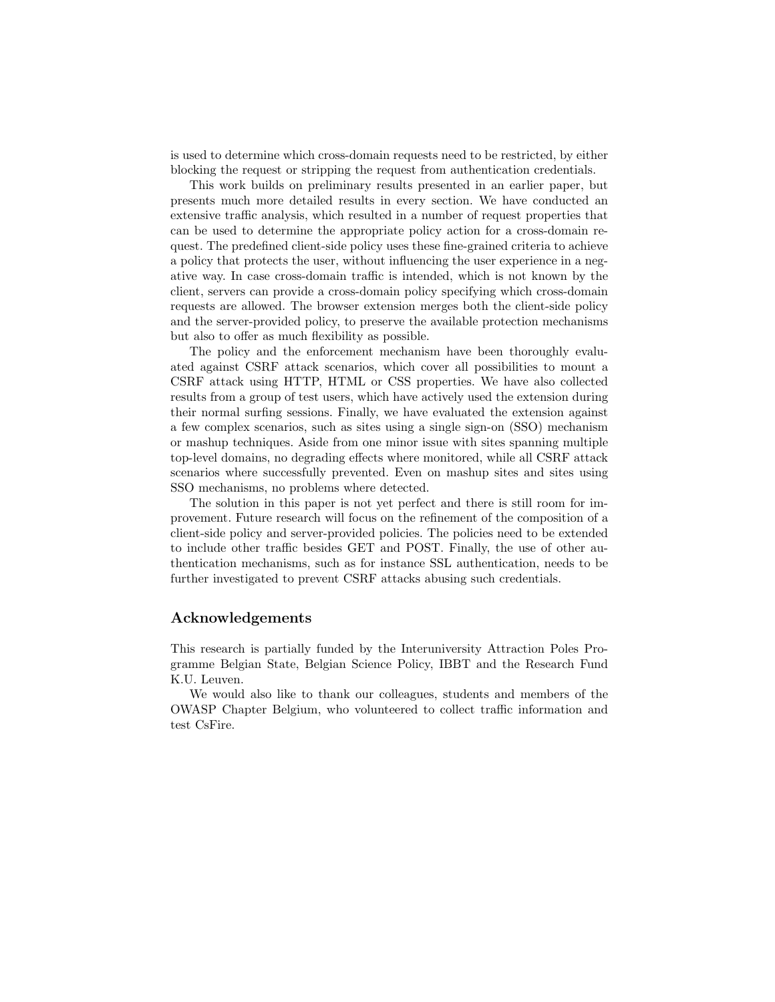is used to determine which cross-domain requests need to be restricted, by either blocking the request or stripping the request from authentication credentials.

This work builds on preliminary results presented in an earlier paper, but presents much more detailed results in every section. We have conducted an extensive traffic analysis, which resulted in a number of request properties that can be used to determine the appropriate policy action for a cross-domain request. The predefined client-side policy uses these fine-grained criteria to achieve a policy that protects the user, without influencing the user experience in a negative way. In case cross-domain traffic is intended, which is not known by the client, servers can provide a cross-domain policy specifying which cross-domain requests are allowed. The browser extension merges both the client-side policy and the server-provided policy, to preserve the available protection mechanisms but also to offer as much flexibility as possible.

The policy and the enforcement mechanism have been thoroughly evaluated against CSRF attack scenarios, which cover all possibilities to mount a CSRF attack using HTTP, HTML or CSS properties. We have also collected results from a group of test users, which have actively used the extension during their normal surfing sessions. Finally, we have evaluated the extension against a few complex scenarios, such as sites using a single sign-on (SSO) mechanism or mashup techniques. Aside from one minor issue with sites spanning multiple top-level domains, no degrading effects where monitored, while all CSRF attack scenarios where successfully prevented. Even on mashup sites and sites using SSO mechanisms, no problems where detected.

The solution in this paper is not yet perfect and there is still room for improvement. Future research will focus on the refinement of the composition of a client-side policy and server-provided policies. The policies need to be extended to include other traffic besides GET and POST. Finally, the use of other authentication mechanisms, such as for instance SSL authentication, needs to be further investigated to prevent CSRF attacks abusing such credentials.

# Acknowledgements

This research is partially funded by the Interuniversity Attraction Poles Programme Belgian State, Belgian Science Policy, IBBT and the Research Fund K.U. Leuven.

We would also like to thank our colleagues, students and members of the OWASP Chapter Belgium, who volunteered to collect traffic information and test CsFire.